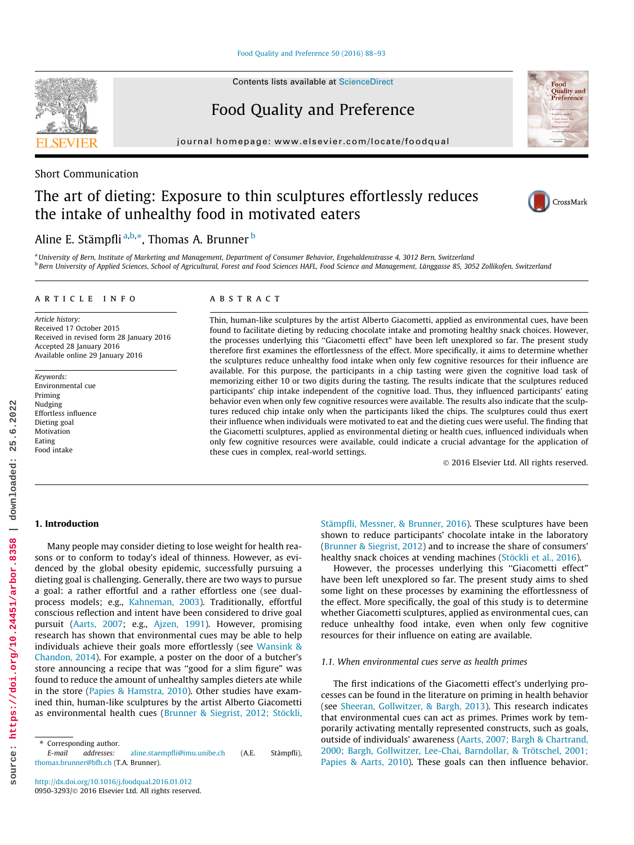[Food Quality and Preference 50 \(2016\) 88–93](http://dx.doi.org/10.1016/j.foodqual.2016.01.012)

Contents lists available at [ScienceDirect](http://www.sciencedirect.com/science/journal/09503293)

Food Quality and Preference

journal homepage: [www.elsevier.com/locate/foodqual](http://www.elsevier.com/locate/foodqual)

## Short Communication

# The art of dieting: Exposure to thin sculptures effortlessly reduces the intake of unhealthy food in motivated eaters



<sup>a</sup> University of Bern, Institute of Marketing and Management, Department of Consumer Behavior, Engehaldenstrasse 4, 3012 Bern, Switzerland <sup>b</sup> Bern University of Applied Sciences, School of Agricultural, Forest and Food Sciences HAFL, Food Science and Management, Länggasse 85, 3052 Zollikofen, Switzerland

#### article info

Article history: Received 17 October 2015 Received in revised form 28 January 2016 Accepted 28 January 2016 Available online 29 January 2016

Keywords: Environmental cue Priming Nudging Effortless influence Dieting goal Motivation Eating Food intake

## ABSTRACT

Thin, human-like sculptures by the artist Alberto Giacometti, applied as environmental cues, have been found to facilitate dieting by reducing chocolate intake and promoting healthy snack choices. However, the processes underlying this ''Giacometti effect" have been left unexplored so far. The present study therefore first examines the effortlessness of the effect. More specifically, it aims to determine whether the sculptures reduce unhealthy food intake when only few cognitive resources for their influence are available. For this purpose, the participants in a chip tasting were given the cognitive load task of memorizing either 10 or two digits during the tasting. The results indicate that the sculptures reduced participants' chip intake independent of the cognitive load. Thus, they influenced participants' eating behavior even when only few cognitive resources were available. The results also indicate that the sculptures reduced chip intake only when the participants liked the chips. The sculptures could thus exert their influence when individuals were motivated to eat and the dieting cues were useful. The finding that the Giacometti sculptures, applied as environmental dieting or health cues, influenced individuals when only few cognitive resources were available, could indicate a crucial advantage for the application of these cues in complex, real-world settings.

2016 Elsevier Ltd. All rights reserved.

## 1. Introduction

**source: https://doi.org/10.24451/arbor.8358 | downloaded: 25.6.2022**

https://doi.org/10.24451/arbor.8358

source:

25.6.2022

downloaded:

Many people may consider dieting to lose weight for health reasons or to conform to today's ideal of thinness. However, as evidenced by the global obesity epidemic, successfully pursuing a dieting goal is challenging. Generally, there are two ways to pursue a goal: a rather effortful and a rather effortless one (see dualprocess models; e.g., Kahneman, 2003). Traditionally, effortful conscious reflection and intent have been considered to drive goal pursuit (Aarts, 2007; e.g., Ajzen, 1991). However, promising research has shown that environmental cues may be able to help individuals achieve their goals more effortlessly (see Wansink & Chandon, 2014). For example, a poster on the door of a butcher's store announcing a recipe that was ''good for a slim figure" was found to reduce the amount of unhealthy samples dieters ate while in the store (Papies & Hamstra, 2010). Other studies have examined thin, human-like sculptures by the artist Alberto Giacometti as environmental health cues (Brunner & Siegrist, 2012; Stöckli, Stämpfli, Messner, & Brunner, 2016). These sculptures have been shown to reduce participants' chocolate intake in the laboratory (Brunner & Siegrist, 2012) and to increase the share of consumers' healthy snack choices at vending machines (Stöckli et al., 2016).

However, the processes underlying this "Giacometti effect" have been left unexplored so far. The present study aims to shed some light on these processes by examining the effortlessness of the effect. More specifically, the goal of this study is to determine whether Giacometti sculptures, applied as environmental cues, can reduce unhealthy food intake, even when only few cognitive resources for their influence on eating are available.

#### 1.1. When environmental cues serve as health primes

The first indications of the Giacometti effect's underlying processes can be found in the literature on priming in health behavior (see Sheeran, Gollwitzer, & Bargh, 2013). This research indicates that environmental cues can act as primes. Primes work by temporarily activating mentally represented constructs, such as goals, outside of individuals' awareness (Aarts, 2007; Bargh & Chartrand, 2000; Bargh, Gollwitzer, Lee-Chai, Barndollar, & Trötschel, 2001; Papies & Aarts, 2010). These goals can then influence behavior.



Food **Ouality** and Preference

<sup>\*</sup> Corresponding author.<br>F-mail addresses:

addresses: [aline.staempfli@imu.unibe.ch](mailto:aline.staempfli@imu.unibe.ch) (A.E. Stämpfli), [thomas.brunner@bfh.ch](mailto:                                thomas.brunner@bfh.ch) (T.A. Brunner).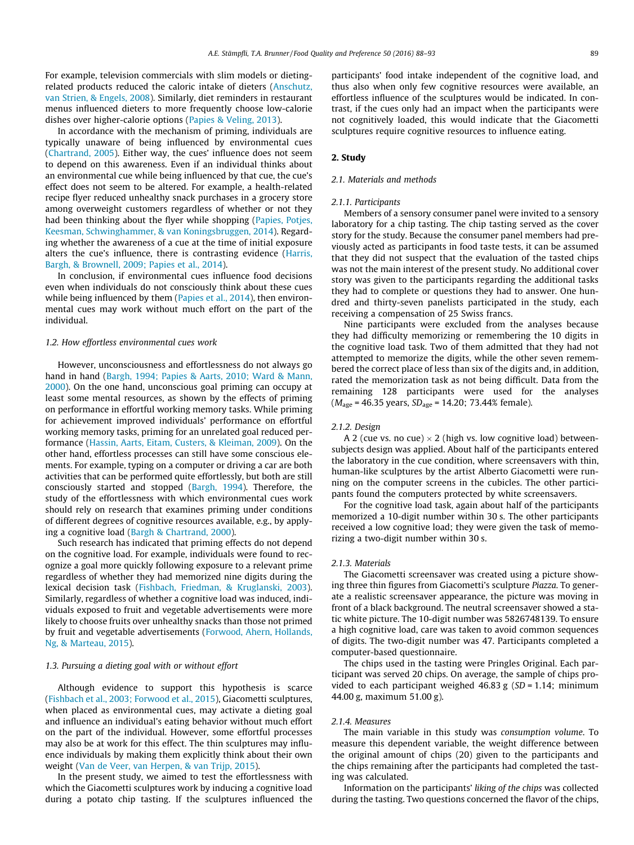For example, television commercials with slim models or dietingrelated products reduced the caloric intake of dieters (Anschutz, van Strien, & Engels, 2008). Similarly, diet reminders in restaurant menus influenced dieters to more frequently choose low-calorie dishes over higher-calorie options (Papies & Veling, 2013).

In accordance with the mechanism of priming, individuals are typically unaware of being influenced by environmental cues (Chartrand, 2005). Either way, the cues' influence does not seem to depend on this awareness. Even if an individual thinks about an environmental cue while being influenced by that cue, the cue's effect does not seem to be altered. For example, a health-related recipe flyer reduced unhealthy snack purchases in a grocery store among overweight customers regardless of whether or not they had been thinking about the flyer while shopping (Papies, Potjes, Keesman, Schwinghammer, & van Koningsbruggen, 2014). Regarding whether the awareness of a cue at the time of initial exposure alters the cue's influence, there is contrasting evidence (Harris, Bargh, & Brownell, 2009; Papies et al., 2014).

In conclusion, if environmental cues influence food decisions even when individuals do not consciously think about these cues while being influenced by them (Papies et al., 2014), then environmental cues may work without much effort on the part of the individual.

#### 1.2. How effortless environmental cues work

However, unconsciousness and effortlessness do not always go hand in hand (Bargh, 1994; Papies & Aarts, 2010; Ward & Mann, 2000). On the one hand, unconscious goal priming can occupy at least some mental resources, as shown by the effects of priming on performance in effortful working memory tasks. While priming for achievement improved individuals' performance on effortful working memory tasks, priming for an unrelated goal reduced performance (Hassin, Aarts, Eitam, Custers, & Kleiman, 2009). On the other hand, effortless processes can still have some conscious elements. For example, typing on a computer or driving a car are both activities that can be performed quite effortlessly, but both are still consciously started and stopped (Bargh, 1994). Therefore, the study of the effortlessness with which environmental cues work should rely on research that examines priming under conditions of different degrees of cognitive resources available, e.g., by applying a cognitive load (Bargh & Chartrand, 2000).

Such research has indicated that priming effects do not depend on the cognitive load. For example, individuals were found to recognize a goal more quickly following exposure to a relevant prime regardless of whether they had memorized nine digits during the lexical decision task (Fishbach, Friedman, & Kruglanski, 2003). Similarly, regardless of whether a cognitive load was induced, individuals exposed to fruit and vegetable advertisements were more likely to choose fruits over unhealthy snacks than those not primed by fruit and vegetable advertisements (Forwood, Ahern, Hollands, Ng, & Marteau, 2015).

#### 1.3. Pursuing a dieting goal with or without effort

Although evidence to support this hypothesis is scarce (Fishbach et al., 2003; Forwood et al., 2015), Giacometti sculptures, when placed as environmental cues, may activate a dieting goal and influence an individual's eating behavior without much effort on the part of the individual. However, some effortful processes may also be at work for this effect. The thin sculptures may influence individuals by making them explicitly think about their own weight (Van de Veer, van Herpen, & van Trijp, 2015).

In the present study, we aimed to test the effortlessness with which the Giacometti sculptures work by inducing a cognitive load during a potato chip tasting. If the sculptures influenced the participants' food intake independent of the cognitive load, and thus also when only few cognitive resources were available, an effortless influence of the sculptures would be indicated. In contrast, if the cues only had an impact when the participants were not cognitively loaded, this would indicate that the Giacometti sculptures require cognitive resources to influence eating.

### 2. Study

#### 2.1. Materials and methods

#### 2.1.1. Participants

Members of a sensory consumer panel were invited to a sensory laboratory for a chip tasting. The chip tasting served as the cover story for the study. Because the consumer panel members had previously acted as participants in food taste tests, it can be assumed that they did not suspect that the evaluation of the tasted chips was not the main interest of the present study. No additional cover story was given to the participants regarding the additional tasks they had to complete or questions they had to answer. One hundred and thirty-seven panelists participated in the study, each receiving a compensation of 25 Swiss francs.

Nine participants were excluded from the analyses because they had difficulty memorizing or remembering the 10 digits in the cognitive load task. Two of them admitted that they had not attempted to memorize the digits, while the other seven remembered the correct place of less than six of the digits and, in addition, rated the memorization task as not being difficult. Data from the remaining 128 participants were used for the analyses  $(M<sub>age</sub> = 46.35 \text{ years}, SD<sub>age</sub> = 14.20; 73.44\% \text{ female}).$ 

#### 2.1.2. Design

A 2 (cue vs. no cue)  $\times$  2 (high vs. low cognitive load) betweensubjects design was applied. About half of the participants entered the laboratory in the cue condition, where screensavers with thin, human-like sculptures by the artist Alberto Giacometti were running on the computer screens in the cubicles. The other participants found the computers protected by white screensavers.

For the cognitive load task, again about half of the participants memorized a 10-digit number within 30 s. The other participants received a low cognitive load; they were given the task of memorizing a two-digit number within 30 s.

#### 2.1.3. Materials

The Giacometti screensaver was created using a picture showing three thin figures from Giacometti's sculpture Piazza. To generate a realistic screensaver appearance, the picture was moving in front of a black background. The neutral screensaver showed a static white picture. The 10-digit number was 5826748139. To ensure a high cognitive load, care was taken to avoid common sequences of digits. The two-digit number was 47. Participants completed a computer-based questionnaire.

The chips used in the tasting were Pringles Original. Each participant was served 20 chips. On average, the sample of chips provided to each participant weighed  $46.83$  g (SD = 1.14; minimum 44.00 g, maximum 51.00 g).

#### 2.1.4. Measures

The main variable in this study was consumption volume. To measure this dependent variable, the weight difference between the original amount of chips (20) given to the participants and the chips remaining after the participants had completed the tasting was calculated.

Information on the participants' liking of the chips was collected during the tasting. Two questions concerned the flavor of the chips,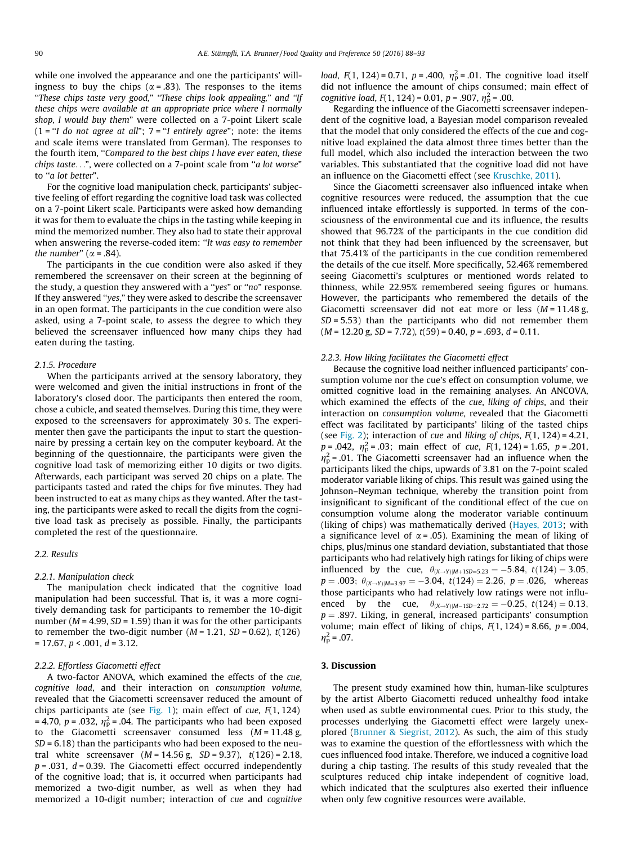while one involved the appearance and one the participants' willingness to buy the chips ( $\alpha$  = .83). The responses to the items<br>"These chips taste very good," "These chips look appealing," and "If these chips were available at an appropriate price where I normally shop, I would buy them" were collected on a 7-point Likert scale (1 = "I do not agree at all";  $7 =$  "I entirely agree"; note: the items and scale items were translated from German). The responses to the fourth item, "Compared to the best chips I have ever eaten, these chips taste...", were collected on a 7-point scale from ''a lot worse" to ''a lot better".

For the cognitive load manipulation check, participants' subjective feeling of effort regarding the cognitive load task was collected on a 7-point Likert scale. Participants were asked how demanding it was for them to evaluate the chips in the tasting while keeping in mind the memorized number. They also had to state their approval when answering the reverse-coded item: "It was easy to remember the number" ( $\alpha$  = .84).

The participants in the cue condition were also asked if they remembered the screensaver on their screen at the beginning of the study, a question they answered with a ''yes" or ''no" response. If they answered ''yes," they were asked to describe the screensaver in an open format. The participants in the cue condition were also asked, using a 7-point scale, to assess the degree to which they believed the screensaver influenced how many chips they had eaten during the tasting.

#### 2.1.5. Procedure

When the participants arrived at the sensory laboratory, they were welcomed and given the initial instructions in front of the laboratory's closed door. The participants then entered the room, chose a cubicle, and seated themselves. During this time, they were exposed to the screensavers for approximately 30 s. The experimenter then gave the participants the input to start the questionnaire by pressing a certain key on the computer keyboard. At the beginning of the questionnaire, the participants were given the cognitive load task of memorizing either 10 digits or two digits. Afterwards, each participant was served 20 chips on a plate. The participants tasted and rated the chips for five minutes. They had been instructed to eat as many chips as they wanted. After the tasting, the participants were asked to recall the digits from the cognitive load task as precisely as possible. Finally, the participants completed the rest of the questionnaire.

## 2.2. Results

#### 2.2.1. Manipulation check

The manipulation check indicated that the cognitive load manipulation had been successful. That is, it was a more cognitively demanding task for participants to remember the 10-digit number ( $M = 4.99$ ,  $SD = 1.59$ ) than it was for the other participants to remember the two-digit number ( $M = 1.21$ ,  $SD = 0.62$ ),  $t(126)$  $= 17.67, p < .001, d = 3.12.$ 

## 2.2.2. Effortless Giacometti effect

A two-factor ANOVA, which examined the effects of the cue, cognitive load, and their interaction on consumption volume, revealed that the Giacometti screensaver reduced the amount of chips participants ate (see Fig. 1); main effect of cue,  $F(1, 124)$ = 4.70, *p* = .032,  $\eta_p^2$  = .04. The participants who had been exposed to the Giacometti screensaver consumed less (*M* = 11.48 g.) to the Giacometti screensaver consumed less  $(M = 11.48 \text{ g})$ ,  $SD = 6.18$ ) than the participants who had been exposed to the neutral white screensaver  $(M = 14.56 \text{ g}, SD = 9.37), t(126) = 2.18,$  $p = .031$ ,  $d = 0.39$ . The Giacometti effect occurred independently of the cognitive load; that is, it occurred when participants had memorized a two-digit number, as well as when they had memorized a 10-digit number; interaction of cue and cognitive

*load*,  $F(1, 124) = 0.71$ ,  $p = .400$ ,  $\eta_p^2 = .01$ . The cognitive load itself did not influence the amount of chips consumed; main effect of *load, F*(1, 124) = 0.71,  $p = .400$ ,  $\eta_p^2 = .01$ . The cognitive load itself cognitive load,  $F(1, 124) = 0.01$ ,  $p = .907$ ,  $\eta_p^2 = .00$ .<br>Regarding the influence of the Giacometti scr

Regarding the influence of the Giacometti screensaver independent of the cognitive load, a Bayesian model comparison revealed that the model that only considered the effects of the cue and cognitive load explained the data almost three times better than the full model, which also included the interaction between the two variables. This substantiated that the cognitive load did not have an influence on the Giacometti effect (see Kruschke, 2011).

Since the Giacometti screensaver also influenced intake when cognitive resources were reduced, the assumption that the cue influenced intake effortlessly is supported. In terms of the consciousness of the environmental cue and its influence, the results showed that 96.72% of the participants in the cue condition did not think that they had been influenced by the screensaver, but that 75.41% of the participants in the cue condition remembered the details of the cue itself. More specifically, 52.46% remembered seeing Giacometti's sculptures or mentioned words related to thinness, while 22.95% remembered seeing figures or humans. However, the participants who remembered the details of the Giacometti screensaver did not eat more or less  $(M = 11.48 \text{ g})$ ,  $SD = 5.53$ ) than the participants who did not remember them  $(M = 12.20 \text{ g}, SD = 7.72), t(59) = 0.40, p = .693, d = 0.11.$ 

#### 2.2.3. How liking facilitates the Giacometti effect

Because the cognitive load neither influenced participants' consumption volume nor the cue's effect on consumption volume, we omitted cognitive load in the remaining analyses. An ANCOVA, which examined the effects of the cue, liking of chips, and their interaction on consumption volume, revealed that the Giacometti effect was facilitated by participants' liking of the tasted chips (see Fig. 2); interaction of cue and liking of chips,  $F(1, 124) = 4.21$ ,  $p = .042$ ,  $\eta_p^2 = .03$ ; main effect of cue,  $F(1, 124) = 1.65$ ,  $p = .201$ ,  $n_x^2 = .01$ . The Giacometti screensaver had an influence when the  $\eta_p$  = .01. The Glacometti screensaver had an immence when the participants liked the chips, upwards of 3.81 on the 7-point scaled  $\eta_{\rm p}^2$  = .01. The Giacometti screensaver had an influence when the moderator variable liking of chips. This result was gained using the Johnson–Neyman technique, whereby the transition point from insignificant to significant of the conditional effect of the cue on consumption volume along the moderator variable continuum (liking of chips) was mathematically derived (Hayes, 2013; with a significance level of  $\alpha$  = .05). Examining the mean of liking of chips, plus/minus one standard deviation, substantiated that those participants who had relatively high ratings for liking of chips were influenced by the cue,  $\theta_{(X\rightarrow Y)(M+15D=5.23)} = -5.84$ ,  $t(124) = 3.05$ ,  $p = .003; \ \theta_{(X \to Y)|M=3.97} = -3.04, \ t(124) = 2.26, \ p = .026, \text{ whereas}$ those participants who had relatively low ratings were not influenced by the cue,  $\theta_{(X\rightarrow Y)|M-1SD=2.72} = -0.25$ ,  $t(124) = 0.13$ ,  $p = .897$ . Liking, in general, increased participants' consumption volume; main effect of liking of chips,  $F(1, 124) = 8.66$ ,  $p = .004$ ,  $\eta_{\rm p}^2 = .07$ .

## 3. Discussion

The present study examined how thin, human-like sculptures by the artist Alberto Giacometti reduced unhealthy food intake when used as subtle environmental cues. Prior to this study, the processes underlying the Giacometti effect were largely unexplored (Brunner & Siegrist, 2012). As such, the aim of this study was to examine the question of the effortlessness with which the cues influenced food intake. Therefore, we induced a cognitive load during a chip tasting. The results of this study revealed that the sculptures reduced chip intake independent of cognitive load, which indicated that the sculptures also exerted their influence when only few cognitive resources were available.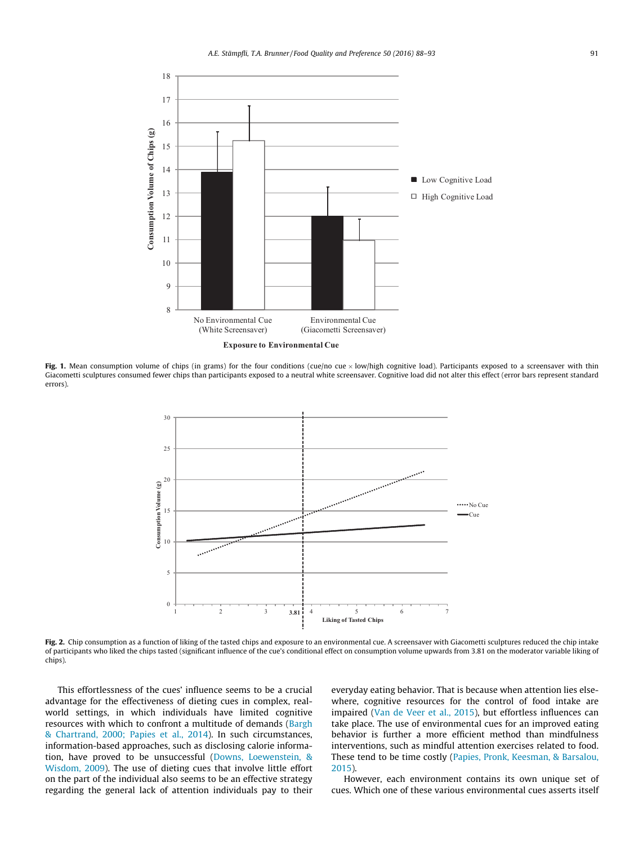

Fig. 1. Mean consumption volume of chips (in grams) for the four conditions (cue/no cue  $\times$  low/high cognitive load). Participants exposed to a screensaver with thin Giacometti sculptures consumed fewer chips than participants exposed to a neutral white screensaver. Cognitive load did not alter this effect (error bars represent standard errors).



Fig. 2. Chip consumption as a function of liking of the tasted chips and exposure to an environmental cue. A screensaver with Giacometti sculptures reduced the chip intake of participants who liked the chips tasted (significant influence of the cue's conditional effect on consumption volume upwards from 3.81 on the moderator variable liking of chips).

This effortlessness of the cues' influence seems to be a crucial advantage for the effectiveness of dieting cues in complex, realworld settings, in which individuals have limited cognitive resources with which to confront a multitude of demands (Bargh & Chartrand, 2000; Papies et al., 2014). In such circumstances, information-based approaches, such as disclosing calorie information, have proved to be unsuccessful (Downs, Loewenstein, & Wisdom, 2009). The use of dieting cues that involve little effort on the part of the individual also seems to be an effective strategy regarding the general lack of attention individuals pay to their everyday eating behavior. That is because when attention lies elsewhere, cognitive resources for the control of food intake are impaired (Van de Veer et al., 2015), but effortless influences can take place. The use of environmental cues for an improved eating behavior is further a more efficient method than mindfulness interventions, such as mindful attention exercises related to food. These tend to be time costly (Papies, Pronk, Keesman, & Barsalou, 2015).

However, each environment contains its own unique set of cues. Which one of these various environmental cues asserts itself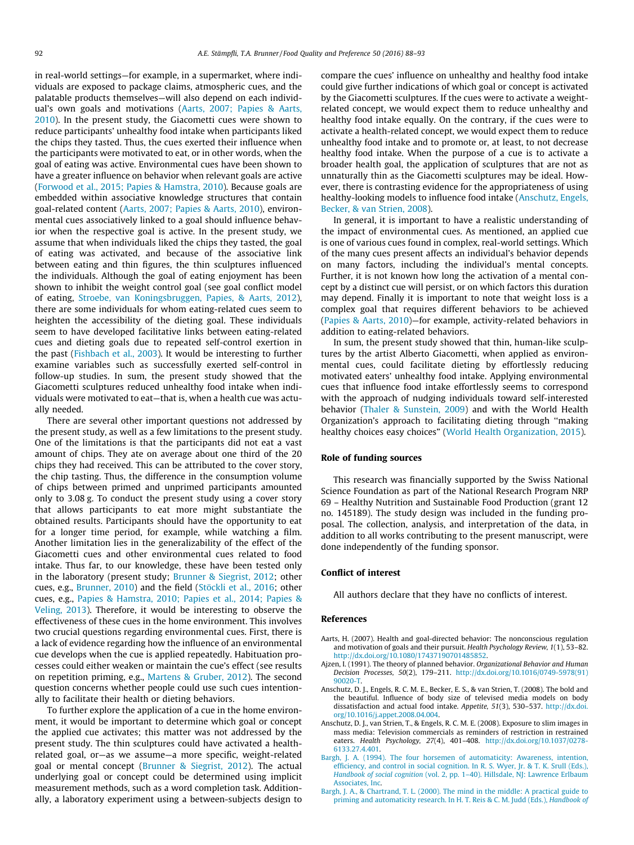in real-world settings—for example, in a supermarket, where individuals are exposed to package claims, atmospheric cues, and the palatable products themselves—will also depend on each individual's own goals and motivations (Aarts, 2007; Papies & Aarts, 2010). In the present study, the Giacometti cues were shown to reduce participants' unhealthy food intake when participants liked the chips they tasted. Thus, the cues exerted their influence when the participants were motivated to eat, or in other words, when the goal of eating was active. Environmental cues have been shown to have a greater influence on behavior when relevant goals are active (Forwood et al., 2015; Papies & Hamstra, 2010). Because goals are embedded within associative knowledge structures that contain goal-related content (Aarts, 2007; Papies & Aarts, 2010), environmental cues associatively linked to a goal should influence behavior when the respective goal is active. In the present study, we assume that when individuals liked the chips they tasted, the goal of eating was activated, and because of the associative link between eating and thin figures, the thin sculptures influenced the individuals. Although the goal of eating enjoyment has been shown to inhibit the weight control goal (see goal conflict model of eating, Stroebe, van Koningsbruggen, Papies, & Aarts, 2012), there are some individuals for whom eating-related cues seem to heighten the accessibility of the dieting goal. These individuals seem to have developed facilitative links between eating-related cues and dieting goals due to repeated self-control exertion in the past (Fishbach et al., 2003). It would be interesting to further examine variables such as successfully exerted self-control in follow-up studies. In sum, the present study showed that the Giacometti sculptures reduced unhealthy food intake when individuals were motivated to eat—that is, when a health cue was actually needed.

There are several other important questions not addressed by the present study, as well as a few limitations to the present study. One of the limitations is that the participants did not eat a vast amount of chips. They ate on average about one third of the 20 chips they had received. This can be attributed to the cover story, the chip tasting. Thus, the difference in the consumption volume of chips between primed and unprimed participants amounted only to 3.08 g. To conduct the present study using a cover story that allows participants to eat more might substantiate the obtained results. Participants should have the opportunity to eat for a longer time period, for example, while watching a film. Another limitation lies in the generalizability of the effect of the Giacometti cues and other environmental cues related to food intake. Thus far, to our knowledge, these have been tested only in the laboratory (present study; Brunner & Siegrist, 2012; other cues, e.g., Brunner, 2010) and the field (Stöckli et al., 2016; other cues, e.g., Papies & Hamstra, 2010; Papies et al., 2014; Papies & Veling, 2013). Therefore, it would be interesting to observe the effectiveness of these cues in the home environment. This involves two crucial questions regarding environmental cues. First, there is a lack of evidence regarding how the influence of an environmental cue develops when the cue is applied repeatedly. Habituation processes could either weaken or maintain the cue's effect (see results on repetition priming, e.g., Martens & Gruber, 2012). The second question concerns whether people could use such cues intentionally to facilitate their health or dieting behaviors.

To further explore the application of a cue in the home environment, it would be important to determine which goal or concept the applied cue activates; this matter was not addressed by the present study. The thin sculptures could have activated a healthrelated goal, or—as we assume—a more specific, weight-related goal or mental concept (Brunner & Siegrist, 2012). The actual underlying goal or concept could be determined using implicit measurement methods, such as a word completion task. Additionally, a laboratory experiment using a between-subjects design to compare the cues' influence on unhealthy and healthy food intake could give further indications of which goal or concept is activated by the Giacometti sculptures. If the cues were to activate a weightrelated concept, we would expect them to reduce unhealthy and healthy food intake equally. On the contrary, if the cues were to activate a health-related concept, we would expect them to reduce unhealthy food intake and to promote or, at least, to not decrease healthy food intake. When the purpose of a cue is to activate a broader health goal, the application of sculptures that are not as unnaturally thin as the Giacometti sculptures may be ideal. However, there is contrasting evidence for the appropriateness of using healthy-looking models to influence food intake (Anschutz, Engels, Becker, & van Strien, 2008).

In general, it is important to have a realistic understanding of the impact of environmental cues. As mentioned, an applied cue is one of various cues found in complex, real-world settings. Which of the many cues present affects an individual's behavior depends on many factors, including the individual's mental concepts. Further, it is not known how long the activation of a mental concept by a distinct cue will persist, or on which factors this duration may depend. Finally it is important to note that weight loss is a complex goal that requires different behaviors to be achieved (Papies & Aarts, 2010)—for example, activity-related behaviors in addition to eating-related behaviors.

In sum, the present study showed that thin, human-like sculptures by the artist Alberto Giacometti, when applied as environmental cues, could facilitate dieting by effortlessly reducing motivated eaters' unhealthy food intake. Applying environmental cues that influence food intake effortlessly seems to correspond with the approach of nudging individuals toward self-interested behavior (Thaler & Sunstein, 2009) and with the World Health Organization's approach to facilitating dieting through ''making healthy choices easy choices" (World Health Organization, 2015).

#### Role of funding sources

This research was financially supported by the Swiss National Science Foundation as part of the National Research Program NRP 69 – Healthy Nutrition and Sustainable Food Production (grant 12 no. 145189). The study design was included in the funding proposal. The collection, analysis, and interpretation of the data, in addition to all works contributing to the present manuscript, were done independently of the funding sponsor.

## Conflict of interest

All authors declare that they have no conflicts of interest.

#### References

- Aarts, H. (2007). Health and goal-directed behavior: The nonconscious regulation and motivation of goals and their pursuit. Health Psychology Review, 1(1), 53–82. <http://dx.doi.org/10.1080/17437190701485852>.
- Ajzen, I. (1991). The theory of planned behavior. Organizational Behavior and Human Decision Processes, 50(2), 179–211. [http://dx.doi.org/10.1016/0749-5978\(91\)](http://dx.doi.org/10.1016/0749-5978(91)90020-T) [90020-T.](http://dx.doi.org/10.1016/0749-5978(91)90020-T)
- Anschutz, D. J., Engels, R. C. M. E., Becker, E. S., & van Strien, T. (2008). The bold and the beautiful. Influence of body size of televised media models on body dissatisfaction and actual food intake. Appetite, 51(3), 530–537. [http://dx.doi.](http://dx.doi.org/10.1016/j.appet.2008.04.004) [org/10.1016/j.appet.2008.04.004.](http://dx.doi.org/10.1016/j.appet.2008.04.004)
- Anschutz, D. J., van Strien, T., & Engels, R. C. M. E. (2008). Exposure to slim images in mass media: Television commercials as reminders of restriction in restrained eaters. Health Psychology, 27(4), 401–408. [http://dx.doi.org/10.1037/0278-](http://dx.doi.org/10.1037/0278-6133.27.4.401) [6133.27.4.401](http://dx.doi.org/10.1037/0278-6133.27.4.401).
- [Bargh, J. A. \(1994\). The four horsemen of automaticity: Awareness, intention,](http://refhub.elsevier.com/S0950-3293(16)30012-X/h0025) [efficiency, and control in social cognition. In R. S. Wyer, Jr. & T. K. Srull \(Eds.\),](http://refhub.elsevier.com/S0950-3293(16)30012-X/h0025) Handbook of social cognition (vol. 2, pp. 1-40). Hillsdale, NJ: Lawrence Erlbaum [Associates, Inc.](http://refhub.elsevier.com/S0950-3293(16)30012-X/h0025)
- [Bargh, J. A., & Chartrand, T. L. \(2000\). The mind in the middle: A practical guide to](http://refhub.elsevier.com/S0950-3293(16)30012-X/h0030) [priming and automaticity research. In H. T. Reis & C. M. Judd \(Eds.\),](http://refhub.elsevier.com/S0950-3293(16)30012-X/h0030) Handbook of